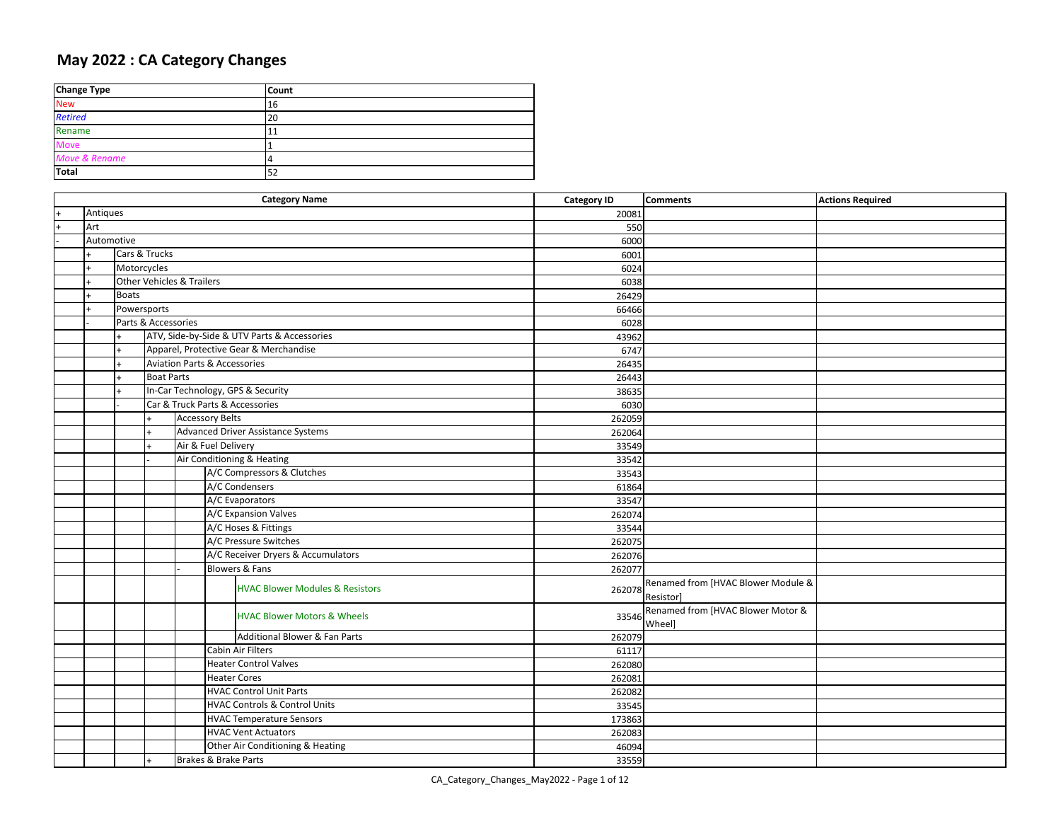## **May 2022 : CA Category Changes**

| <b>Change Type</b> | <b>Count</b>   |
|--------------------|----------------|
| <b>New</b>         | 16             |
| <b>Retired</b>     | 20             |
| Rename             | 11             |
| <b>Move</b>        |                |
| Move & Rename      | $\overline{4}$ |
| <b>Total</b>       | 52             |

|     | <b>Category Name</b> |              |                                          |                        |                     |                                             | <b>Category ID</b> | <b>Comments</b>                    | <b>Actions Required</b> |
|-----|----------------------|--------------|------------------------------------------|------------------------|---------------------|---------------------------------------------|--------------------|------------------------------------|-------------------------|
|     | Antiques             |              |                                          |                        |                     |                                             | 20081              |                                    |                         |
| $+$ | Art                  |              |                                          |                        |                     |                                             | 550                |                                    |                         |
|     | Automotive           |              |                                          |                        |                     |                                             | 6000               |                                    |                         |
|     |                      |              | Cars & Trucks                            |                        |                     |                                             | 6001               |                                    |                         |
|     |                      | Motorcycles  |                                          |                        |                     |                                             | 6024               |                                    |                         |
|     |                      |              | <b>Other Vehicles &amp; Trailers</b>     |                        |                     |                                             | 6038               |                                    |                         |
|     |                      | <b>Boats</b> |                                          |                        |                     |                                             | 26429              |                                    |                         |
|     |                      | Powersports  |                                          |                        |                     |                                             | 66466              |                                    |                         |
|     |                      |              | Parts & Accessories                      |                        |                     |                                             | 6028               |                                    |                         |
|     |                      |              |                                          |                        |                     | ATV, Side-by-Side & UTV Parts & Accessories | 43962              |                                    |                         |
|     |                      |              |                                          |                        |                     | Apparel, Protective Gear & Merchandise      | 6747               |                                    |                         |
|     |                      |              |                                          |                        |                     | <b>Aviation Parts &amp; Accessories</b>     | 26435              |                                    |                         |
|     |                      | $\ddot{}$    | <b>Boat Parts</b>                        |                        |                     |                                             | 26443              |                                    |                         |
|     |                      |              |                                          |                        |                     | In-Car Technology, GPS & Security           | 38635              |                                    |                         |
|     |                      |              |                                          |                        |                     | Car & Truck Parts & Accessories             | 6030               |                                    |                         |
|     |                      |              |                                          | <b>Accessory Belts</b> |                     |                                             | 262059             |                                    |                         |
|     |                      |              | $+$                                      |                        |                     | Advanced Driver Assistance Systems          | 262064             |                                    |                         |
|     |                      |              |                                          | Air & Fuel Delivery    |                     |                                             | 33549              |                                    |                         |
|     |                      |              |                                          |                        |                     | Air Conditioning & Heating                  | 33542              |                                    |                         |
|     |                      |              |                                          |                        |                     | A/C Compressors & Clutches                  | 33543              |                                    |                         |
|     |                      |              |                                          |                        |                     | A/C Condensers                              | 61864              |                                    |                         |
|     |                      |              |                                          |                        |                     | A/C Evaporators                             | 33547              |                                    |                         |
|     |                      |              |                                          |                        |                     | A/C Expansion Valves                        | 262074             |                                    |                         |
|     |                      |              |                                          |                        |                     | A/C Hoses & Fittings                        | 33544              |                                    |                         |
|     |                      |              |                                          |                        |                     | A/C Pressure Switches                       | 262075             |                                    |                         |
|     |                      |              |                                          |                        |                     | A/C Receiver Dryers & Accumulators          | 262076             |                                    |                         |
|     |                      |              |                                          |                        |                     | <b>Blowers &amp; Fans</b>                   | 262077             |                                    |                         |
|     |                      |              |                                          |                        |                     | <b>HVAC Blower Modules &amp; Resistors</b>  | 262078             | Renamed from [HVAC Blower Module & |                         |
|     |                      |              |                                          |                        |                     |                                             |                    | Resistor]                          |                         |
|     |                      |              |                                          |                        |                     | <b>HVAC Blower Motors &amp; Wheels</b>      | 33546              | Renamed from [HVAC Blower Motor &  |                         |
|     |                      |              |                                          |                        |                     |                                             |                    | <b>Wheel</b>                       |                         |
|     |                      |              |                                          |                        |                     | Additional Blower & Fan Parts               | 262079             |                                    |                         |
|     |                      |              |                                          |                        |                     | Cabin Air Filters                           | 61117              |                                    |                         |
|     |                      |              |                                          |                        |                     | <b>Heater Control Valves</b>                | 262080             |                                    |                         |
|     |                      |              |                                          |                        | <b>Heater Cores</b> |                                             | 262081             |                                    |                         |
|     |                      |              |                                          |                        |                     | <b>HVAC Control Unit Parts</b>              | 262082             |                                    |                         |
|     |                      |              | <b>HVAC Controls &amp; Control Units</b> |                        | 33545               |                                             |                    |                                    |                         |
|     |                      |              | <b>HVAC Temperature Sensors</b>          |                        |                     |                                             | 173863             |                                    |                         |
|     |                      |              |                                          |                        |                     | <b>HVAC Vent Actuators</b>                  | 262083             |                                    |                         |
|     |                      |              |                                          |                        |                     | Other Air Conditioning & Heating            | 46094              |                                    |                         |
|     |                      |              |                                          | Brakes & Brake Parts   |                     |                                             | 33559              |                                    |                         |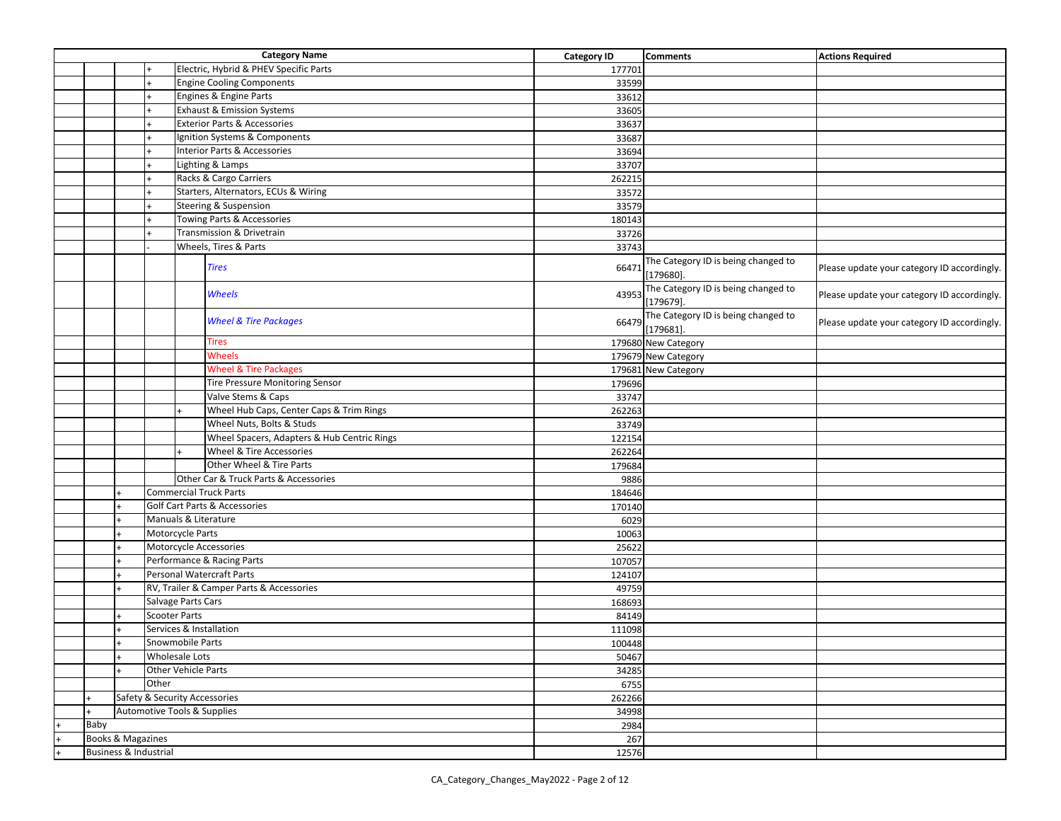| <b>Category Name</b>                                         |           |                                         |                      |                                             | <b>Category ID</b> | <b>Comments</b>                                     | <b>Actions Required</b>                     |
|--------------------------------------------------------------|-----------|-----------------------------------------|----------------------|---------------------------------------------|--------------------|-----------------------------------------------------|---------------------------------------------|
|                                                              |           |                                         |                      | Electric, Hybrid & PHEV Specific Parts      | 177701             |                                                     |                                             |
|                                                              |           |                                         |                      | <b>Engine Cooling Components</b>            | 33599              |                                                     |                                             |
|                                                              |           |                                         |                      | Engines & Engine Parts                      | 33612              |                                                     |                                             |
|                                                              |           |                                         |                      | <b>Exhaust &amp; Emission Systems</b>       | 33605              |                                                     |                                             |
|                                                              |           | <b>Exterior Parts &amp; Accessories</b> |                      |                                             | 33637              |                                                     |                                             |
|                                                              |           |                                         |                      | Ignition Systems & Components               | 33687              |                                                     |                                             |
|                                                              |           |                                         |                      | Interior Parts & Accessories                | 33694              |                                                     |                                             |
|                                                              |           |                                         |                      | Lighting & Lamps                            | 33707              |                                                     |                                             |
|                                                              |           |                                         |                      | Racks & Cargo Carriers                      | 262215             |                                                     |                                             |
|                                                              |           |                                         |                      | Starters, Alternators, ECUs & Wiring        | 33572              |                                                     |                                             |
|                                                              |           |                                         |                      | <b>Steering &amp; Suspension</b>            | 33579              |                                                     |                                             |
|                                                              |           |                                         |                      | Towing Parts & Accessories                  | 180143             |                                                     |                                             |
|                                                              |           |                                         |                      | Transmission & Drivetrain                   | 33726              |                                                     |                                             |
|                                                              |           |                                         |                      | Wheels, Tires & Parts                       | 33743              |                                                     |                                             |
|                                                              |           |                                         |                      | <b>Tires</b>                                | 66471              | The Category ID is being changed to<br>$[179680]$ . | Please update your category ID accordingly. |
|                                                              |           |                                         |                      | Wheels                                      | 43953              | The Category ID is being changed to<br>$[179679]$ . | Please update your category ID accordingly. |
|                                                              |           |                                         |                      | <b>Wheel &amp; Tire Packages</b>            | 66479              | The Category ID is being changed to<br>$[179681]$ . | Please update your category ID accordingly. |
|                                                              |           |                                         |                      | <b>Tires</b>                                |                    | 179680 New Category                                 |                                             |
|                                                              |           |                                         |                      | Wheels                                      |                    | 179679 New Category                                 |                                             |
|                                                              |           |                                         |                      | <b>Wheel &amp; Tire Packages</b>            |                    | 179681 New Category                                 |                                             |
|                                                              |           |                                         |                      | <b>Tire Pressure Monitoring Sensor</b>      | 179696             |                                                     |                                             |
|                                                              |           |                                         |                      | Valve Stems & Caps                          | 33747              |                                                     |                                             |
|                                                              |           |                                         |                      | Wheel Hub Caps, Center Caps & Trim Rings    | 262263             |                                                     |                                             |
|                                                              |           |                                         |                      | Wheel Nuts, Bolts & Studs                   | 33749              |                                                     |                                             |
|                                                              |           |                                         |                      | Wheel Spacers, Adapters & Hub Centric Rings | 122154             |                                                     |                                             |
|                                                              |           |                                         |                      | Wheel & Tire Accessories                    | 262264             |                                                     |                                             |
|                                                              |           |                                         |                      | Other Wheel & Tire Parts                    | 179684             |                                                     |                                             |
|                                                              |           |                                         |                      | Other Car & Truck Parts & Accessories       | 9886               |                                                     |                                             |
|                                                              |           |                                         |                      | <b>Commercial Truck Parts</b>               | 184646             |                                                     |                                             |
|                                                              |           |                                         |                      | <b>Golf Cart Parts &amp; Accessories</b>    | 170140             |                                                     |                                             |
|                                                              |           |                                         |                      | Manuals & Literature                        | 6029               |                                                     |                                             |
|                                                              |           | Motorcycle Parts                        |                      |                                             | 10063              |                                                     |                                             |
|                                                              |           |                                         |                      | Motorcycle Accessories                      | 25622              |                                                     |                                             |
|                                                              |           |                                         |                      | Performance & Racing Parts                  | 107057             |                                                     |                                             |
|                                                              |           |                                         |                      | <b>Personal Watercraft Parts</b>            | 124107             |                                                     |                                             |
|                                                              |           |                                         |                      | RV, Trailer & Camper Parts & Accessories    | 49759              |                                                     |                                             |
|                                                              |           | Salvage Parts Cars                      |                      |                                             | 168693             |                                                     |                                             |
|                                                              |           |                                         | <b>Scooter Parts</b> |                                             | 84149              |                                                     |                                             |
|                                                              |           |                                         |                      | Services & Installation                     | 111098             |                                                     |                                             |
|                                                              | $\ddot{}$ |                                         | Snowmobile Parts     |                                             | 100448             |                                                     |                                             |
|                                                              |           | Wholesale Lots                          |                      |                                             | 50467              |                                                     |                                             |
|                                                              |           | Other Vehicle Parts                     |                      |                                             | 34285              |                                                     |                                             |
|                                                              |           | Other                                   |                      |                                             | 6755               |                                                     |                                             |
| Safety & Security Accessories<br>Automotive Tools & Supplies |           |                                         |                      | 262266                                      |                    |                                                     |                                             |
|                                                              |           |                                         |                      |                                             | 34998              |                                                     |                                             |
| Baby                                                         |           |                                         |                      |                                             | 2984               |                                                     |                                             |
| Books & Magazines                                            |           |                                         |                      |                                             | 267                |                                                     |                                             |
|                                                              |           | Business & Industrial                   |                      |                                             | 12576              |                                                     |                                             |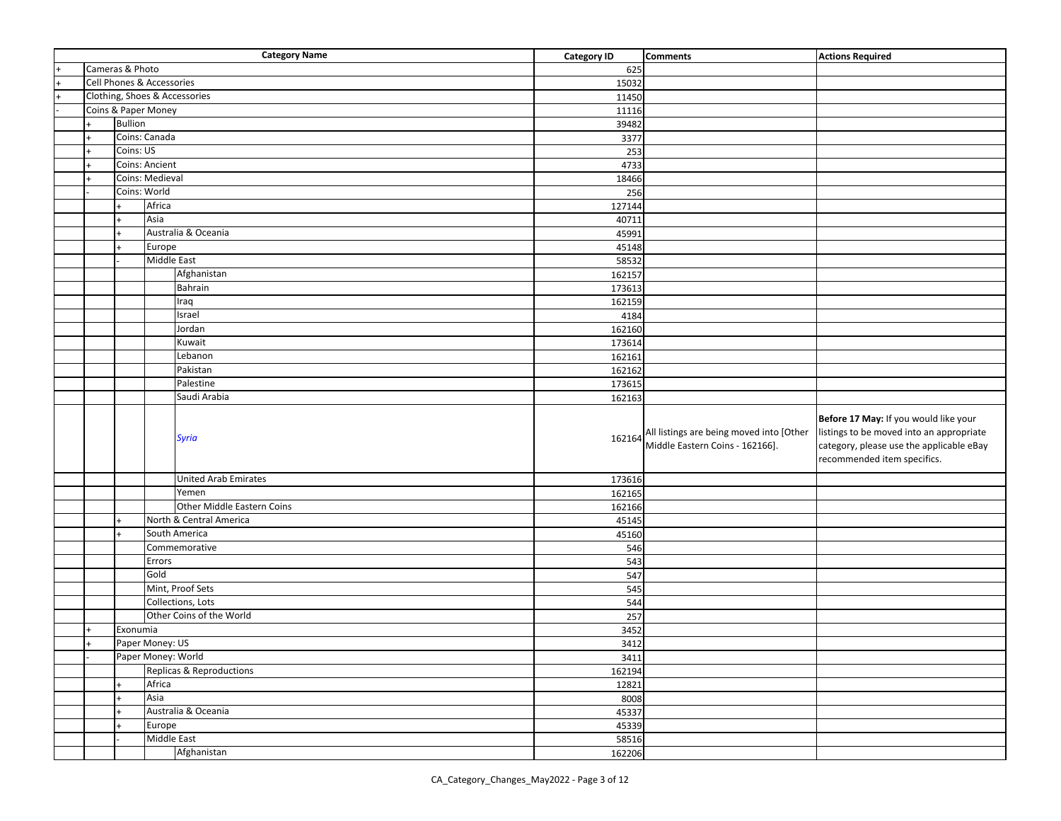|     |                 | <b>Category Name</b>          | <b>Category ID</b> | <b>Comments</b>                                                             | <b>Actions Required</b>                                                                                                                                      |
|-----|-----------------|-------------------------------|--------------------|-----------------------------------------------------------------------------|--------------------------------------------------------------------------------------------------------------------------------------------------------------|
|     | Cameras & Photo |                               | 625                |                                                                             |                                                                                                                                                              |
|     |                 | Cell Phones & Accessories     | 15032              |                                                                             |                                                                                                                                                              |
|     |                 | Clothing, Shoes & Accessories | 11450              |                                                                             |                                                                                                                                                              |
|     |                 | Coins & Paper Money           | 11116              |                                                                             |                                                                                                                                                              |
|     | <b>Bullion</b>  |                               | 39482              |                                                                             |                                                                                                                                                              |
|     |                 | Coins: Canada                 | 3377               |                                                                             |                                                                                                                                                              |
|     | Coins: US       |                               | 253                |                                                                             |                                                                                                                                                              |
|     |                 | <b>Coins: Ancient</b>         | 4733               |                                                                             |                                                                                                                                                              |
|     |                 | Coins: Medieval               | 18466              |                                                                             |                                                                                                                                                              |
|     | Coins: World    |                               | 256                |                                                                             |                                                                                                                                                              |
|     |                 | Africa                        | 127144             |                                                                             |                                                                                                                                                              |
|     |                 | Asia                          | 40711              |                                                                             |                                                                                                                                                              |
|     | $\ddot{}$       | Australia & Oceania           | 45991              |                                                                             |                                                                                                                                                              |
|     |                 | Europe                        | 45148              |                                                                             |                                                                                                                                                              |
|     |                 | Middle East                   | 58532              |                                                                             |                                                                                                                                                              |
|     |                 | Afghanistan                   | 162157             |                                                                             |                                                                                                                                                              |
|     |                 | Bahrain                       | 173613             |                                                                             |                                                                                                                                                              |
|     |                 | Iraq                          | 162159             |                                                                             |                                                                                                                                                              |
|     |                 | Israel                        | 4184               |                                                                             |                                                                                                                                                              |
|     |                 | Jordan                        | 162160             |                                                                             |                                                                                                                                                              |
|     |                 | Kuwait                        | 173614             |                                                                             |                                                                                                                                                              |
|     |                 | Lebanon                       | 162161             |                                                                             |                                                                                                                                                              |
|     |                 | Pakistan                      | 162162             |                                                                             |                                                                                                                                                              |
|     |                 | Palestine                     | 173615             |                                                                             |                                                                                                                                                              |
|     |                 | Saudi Arabia                  | 162163             |                                                                             |                                                                                                                                                              |
|     |                 | <b>Syria</b>                  | 162164             | All listings are being moved into [Other<br>Middle Eastern Coins - 162166]. | Before 17 May: If you would like your<br>listings to be moved into an appropriate<br>category, please use the applicable eBay<br>recommended item specifics. |
|     |                 | <b>United Arab Emirates</b>   | 173616             |                                                                             |                                                                                                                                                              |
|     |                 | Yemen                         | 162165             |                                                                             |                                                                                                                                                              |
|     |                 | Other Middle Eastern Coins    | 162166             |                                                                             |                                                                                                                                                              |
|     |                 | North & Central America       | 45145              |                                                                             |                                                                                                                                                              |
|     |                 | South America                 | 45160              |                                                                             |                                                                                                                                                              |
|     |                 | Commemorative                 | 546                |                                                                             |                                                                                                                                                              |
|     |                 | Errors                        | 543                |                                                                             |                                                                                                                                                              |
|     |                 | Gold                          | 547                |                                                                             |                                                                                                                                                              |
|     |                 | Mint, Proof Sets              | 545                |                                                                             |                                                                                                                                                              |
|     |                 | Collections, Lots             | 544                |                                                                             |                                                                                                                                                              |
|     |                 |                               |                    |                                                                             |                                                                                                                                                              |
|     |                 | Other Coins of the World      | 257                |                                                                             |                                                                                                                                                              |
|     | Exonumia        |                               | 3452               |                                                                             |                                                                                                                                                              |
| $+$ |                 | Paper Money: US               | 3412               |                                                                             |                                                                                                                                                              |
|     |                 | Paper Money: World            | 3411               |                                                                             |                                                                                                                                                              |
|     |                 | Replicas & Reproductions      | 162194             |                                                                             |                                                                                                                                                              |
|     |                 | Africa                        | 12821              |                                                                             |                                                                                                                                                              |
|     |                 | Asia                          | 8008               |                                                                             |                                                                                                                                                              |
|     |                 | Australia & Oceania           | 45337              |                                                                             |                                                                                                                                                              |
|     |                 | Europe                        | 45339              |                                                                             |                                                                                                                                                              |
|     |                 | Middle East<br>Afghanistan    | 58516<br>162206    |                                                                             |                                                                                                                                                              |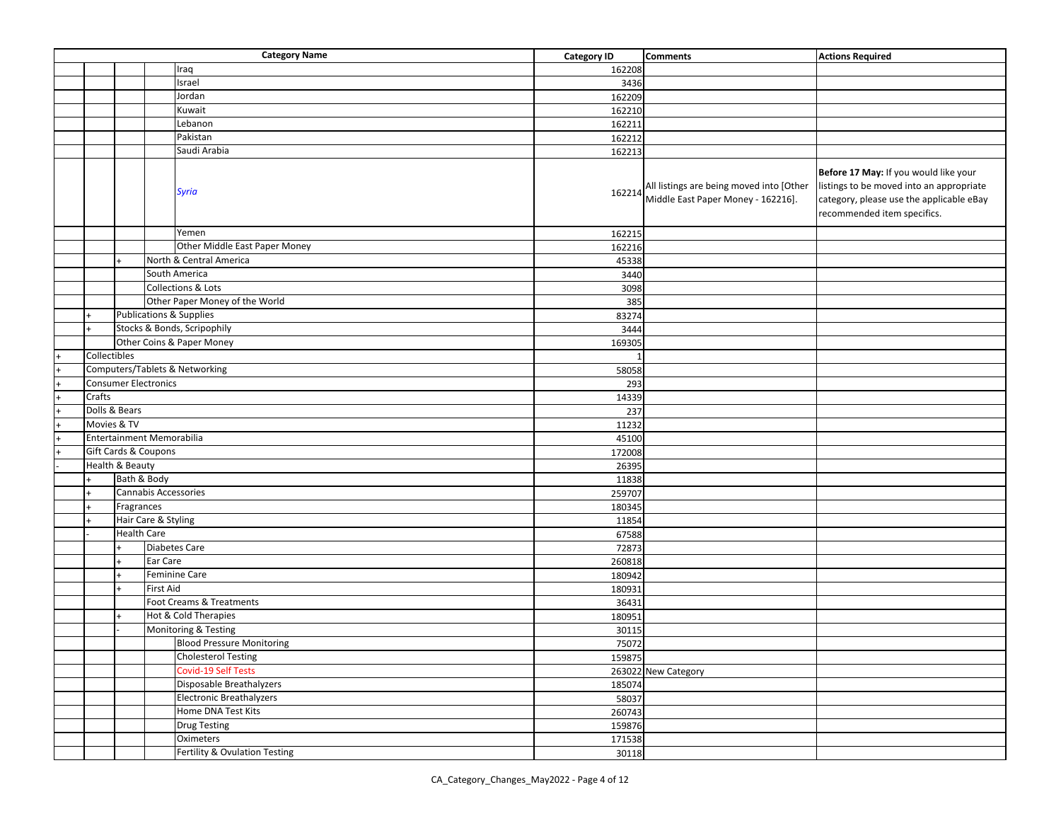|           |              |                            | <b>Category Name</b>               | <b>Category ID</b> | <b>Comments</b>                                                                | <b>Actions Required</b>                                                                                                                                      |
|-----------|--------------|----------------------------|------------------------------------|--------------------|--------------------------------------------------------------------------------|--------------------------------------------------------------------------------------------------------------------------------------------------------------|
|           |              |                            | Iraq                               | 162208             |                                                                                |                                                                                                                                                              |
|           |              |                            | Israel                             | 3436               |                                                                                |                                                                                                                                                              |
|           |              |                            | Jordan                             | 162209             |                                                                                |                                                                                                                                                              |
|           |              |                            | Kuwait                             | 162210             |                                                                                |                                                                                                                                                              |
|           |              |                            | Lebanon                            | 162211             |                                                                                |                                                                                                                                                              |
|           |              |                            | Pakistan                           | 162212             |                                                                                |                                                                                                                                                              |
|           |              |                            | Saudi Arabia                       | 162213             |                                                                                |                                                                                                                                                              |
|           |              |                            | <b>Syria</b><br>Yemen              | 162214             | All listings are being moved into [Other<br>Middle East Paper Money - 162216]. | Before 17 May: If you would like your<br>listings to be moved into an appropriate<br>category, please use the applicable eBay<br>recommended item specifics. |
|           |              |                            |                                    | 162215             |                                                                                |                                                                                                                                                              |
|           |              |                            | Other Middle East Paper Money      | 162216             |                                                                                |                                                                                                                                                              |
|           |              |                            | North & Central America            | 45338              |                                                                                |                                                                                                                                                              |
|           |              |                            | South America                      | 3440               |                                                                                |                                                                                                                                                              |
|           |              |                            | Collections & Lots                 | 3098               |                                                                                |                                                                                                                                                              |
|           |              |                            | Other Paper Money of the World     | 385                |                                                                                |                                                                                                                                                              |
|           |              |                            | <b>Publications &amp; Supplies</b> | 83274              |                                                                                |                                                                                                                                                              |
|           |              |                            | Stocks & Bonds, Scripophily        | 3444               |                                                                                |                                                                                                                                                              |
|           |              |                            | Other Coins & Paper Money          | 169305             |                                                                                |                                                                                                                                                              |
|           | Collectibles |                            |                                    |                    |                                                                                |                                                                                                                                                              |
|           |              |                            | Computers/Tablets & Networking     | 58058              |                                                                                |                                                                                                                                                              |
|           |              |                            | <b>Consumer Electronics</b>        | 293                |                                                                                |                                                                                                                                                              |
|           | Crafts       |                            |                                    | 14339              |                                                                                |                                                                                                                                                              |
| $\ddot{}$ |              | Dolls & Bears              |                                    | 237                |                                                                                |                                                                                                                                                              |
|           | Movies & TV  |                            |                                    | 11232              |                                                                                |                                                                                                                                                              |
|           |              |                            | Entertainment Memorabilia          | 45100              |                                                                                |                                                                                                                                                              |
|           |              |                            | Gift Cards & Coupons               | 172008             |                                                                                |                                                                                                                                                              |
|           |              | <b>Health &amp; Beauty</b> |                                    | 26395              |                                                                                |                                                                                                                                                              |
|           |              | Bath & Body                |                                    | 11838              |                                                                                |                                                                                                                                                              |
|           |              |                            | Cannabis Accessories               | 259707             |                                                                                |                                                                                                                                                              |
|           |              | Fragrances                 |                                    | 180345             |                                                                                |                                                                                                                                                              |
|           |              |                            | Hair Care & Styling                | 11854              |                                                                                |                                                                                                                                                              |
|           |              | <b>Health Care</b>         |                                    | 67588              |                                                                                |                                                                                                                                                              |
|           |              |                            | <b>Diabetes Care</b>               | 72873              |                                                                                |                                                                                                                                                              |
|           |              |                            | Ear Care                           | 260818             |                                                                                |                                                                                                                                                              |
|           |              |                            | Feminine Care                      | 180942             |                                                                                |                                                                                                                                                              |
|           |              |                            | <b>First Aid</b>                   | 180931             |                                                                                |                                                                                                                                                              |
|           |              |                            | Foot Creams & Treatments           | 36431              |                                                                                |                                                                                                                                                              |
|           |              |                            | Hot & Cold Therapies               | 180951             |                                                                                |                                                                                                                                                              |
|           |              |                            | Monitoring & Testing               | 30115              |                                                                                |                                                                                                                                                              |
|           |              |                            | <b>Blood Pressure Monitoring</b>   | 75072              |                                                                                |                                                                                                                                                              |
|           |              |                            | <b>Cholesterol Testing</b>         | 159875             |                                                                                |                                                                                                                                                              |
|           |              |                            | Covid-19 Self Tests                |                    | 263022 New Category                                                            |                                                                                                                                                              |
|           |              |                            | Disposable Breathalyzers           | 185074             |                                                                                |                                                                                                                                                              |
|           |              |                            | <b>Electronic Breathalyzers</b>    | 58037              |                                                                                |                                                                                                                                                              |
|           |              |                            | Home DNA Test Kits                 | 260743             |                                                                                |                                                                                                                                                              |
|           |              |                            | <b>Drug Testing</b>                | 159876             |                                                                                |                                                                                                                                                              |
|           |              |                            | Oximeters                          | 171538             |                                                                                |                                                                                                                                                              |
|           |              |                            | Fertility & Ovulation Testing      | 30118              |                                                                                |                                                                                                                                                              |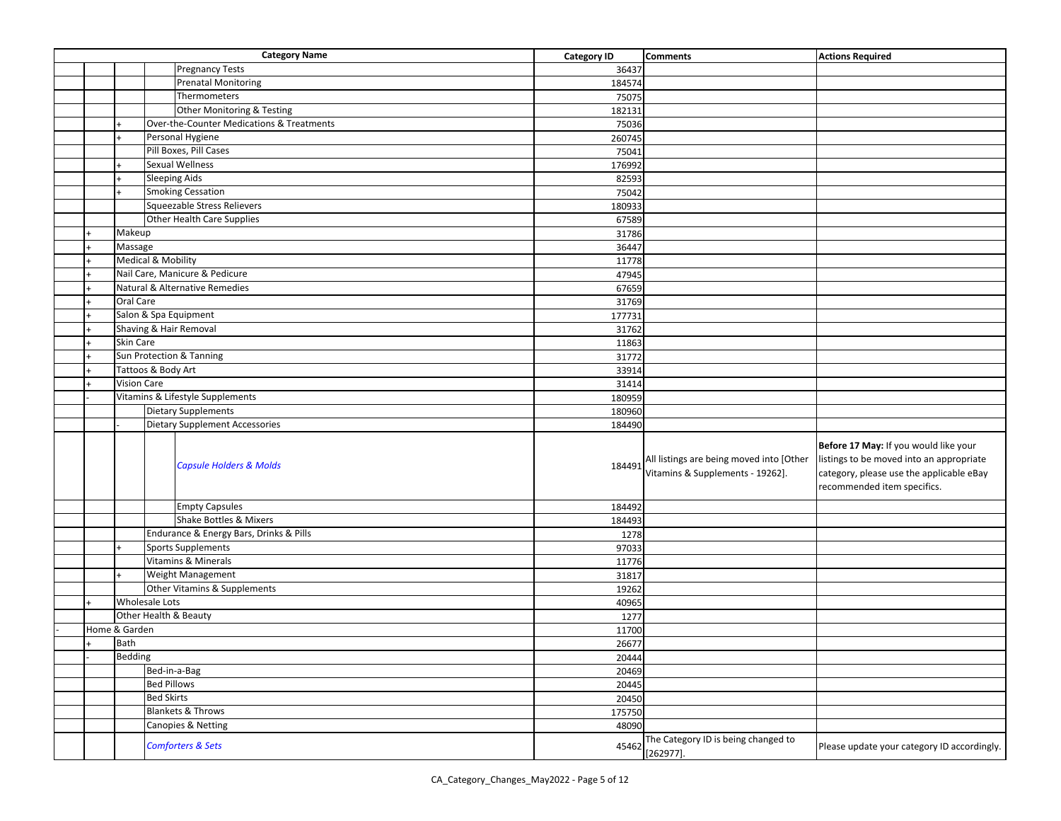|     |                                        |                      | <b>Category Name</b>                      | <b>Category ID</b> | <b>Comments</b>                                                              | <b>Actions Required</b>                                                                                                                                      |
|-----|----------------------------------------|----------------------|-------------------------------------------|--------------------|------------------------------------------------------------------------------|--------------------------------------------------------------------------------------------------------------------------------------------------------------|
|     |                                        |                      | <b>Pregnancy Tests</b>                    | 36437              |                                                                              |                                                                                                                                                              |
|     |                                        |                      | <b>Prenatal Monitoring</b>                | 184574             |                                                                              |                                                                                                                                                              |
|     |                                        |                      | Thermometers                              | 75075              |                                                                              |                                                                                                                                                              |
|     |                                        |                      | Other Monitoring & Testing                | 182131             |                                                                              |                                                                                                                                                              |
|     |                                        |                      | Over-the-Counter Medications & Treatments | 75036              |                                                                              |                                                                                                                                                              |
|     |                                        |                      | Personal Hygiene                          | 260745             |                                                                              |                                                                                                                                                              |
|     |                                        |                      | Pill Boxes, Pill Cases                    | 75041              |                                                                              |                                                                                                                                                              |
|     |                                        |                      | <b>Sexual Wellness</b>                    | 176992             |                                                                              |                                                                                                                                                              |
|     |                                        | <b>Sleeping Aids</b> |                                           | 82593              |                                                                              |                                                                                                                                                              |
|     |                                        |                      | <b>Smoking Cessation</b>                  | 75042              |                                                                              |                                                                                                                                                              |
|     |                                        |                      | Squeezable Stress Relievers               | 180933             |                                                                              |                                                                                                                                                              |
|     |                                        |                      | Other Health Care Supplies                | 67589              |                                                                              |                                                                                                                                                              |
|     | Makeup                                 |                      |                                           | 31786              |                                                                              |                                                                                                                                                              |
|     | Massage                                |                      |                                           |                    |                                                                              |                                                                                                                                                              |
|     |                                        |                      |                                           | 36447              |                                                                              |                                                                                                                                                              |
|     | Medical & Mobility                     |                      |                                           | 11778              |                                                                              |                                                                                                                                                              |
|     |                                        |                      | Nail Care, Manicure & Pedicure            | 47945              |                                                                              |                                                                                                                                                              |
|     |                                        |                      | <b>Natural &amp; Alternative Remedies</b> | 67659              |                                                                              |                                                                                                                                                              |
|     | Oral Care                              |                      |                                           | 31769              |                                                                              |                                                                                                                                                              |
|     |                                        |                      | Salon & Spa Equipment                     | 177731             |                                                                              |                                                                                                                                                              |
|     |                                        |                      | Shaving & Hair Removal                    | 31762              |                                                                              |                                                                                                                                                              |
|     | Skin Care                              |                      |                                           | 11863              |                                                                              |                                                                                                                                                              |
|     |                                        |                      | Sun Protection & Tanning                  | 31772              |                                                                              |                                                                                                                                                              |
|     |                                        | Tattoos & Body Art   |                                           | 33914              |                                                                              |                                                                                                                                                              |
|     | Vision Care                            |                      |                                           | 31414              |                                                                              |                                                                                                                                                              |
|     |                                        |                      | Vitamins & Lifestyle Supplements          | 180959             |                                                                              |                                                                                                                                                              |
|     |                                        |                      | <b>Dietary Supplements</b>                | 180960             |                                                                              |                                                                                                                                                              |
|     |                                        |                      | <b>Dietary Supplement Accessories</b>     | 184490             |                                                                              |                                                                                                                                                              |
|     |                                        |                      | <b>Capsule Holders &amp; Molds</b>        | 184491             | All listings are being moved into [Other<br>Vitamins & Supplements - 19262]. | Before 17 May: If you would like your<br>listings to be moved into an appropriate<br>category, please use the applicable eBay<br>recommended item specifics. |
|     |                                        |                      | <b>Empty Capsules</b>                     | 184492             |                                                                              |                                                                                                                                                              |
|     |                                        |                      | Shake Bottles & Mixers                    | 184493             |                                                                              |                                                                                                                                                              |
|     |                                        |                      | Endurance & Energy Bars, Drinks & Pills   | 1278               |                                                                              |                                                                                                                                                              |
|     |                                        |                      | <b>Sports Supplements</b>                 | 97033              |                                                                              |                                                                                                                                                              |
|     |                                        |                      | Vitamins & Minerals                       | 11776              |                                                                              |                                                                                                                                                              |
|     |                                        |                      | Weight Management                         | 31817              |                                                                              |                                                                                                                                                              |
|     |                                        |                      | Other Vitamins & Supplements              | 19262              |                                                                              |                                                                                                                                                              |
|     | <b>Wholesale Lots</b>                  |                      |                                           | 40965              |                                                                              |                                                                                                                                                              |
|     |                                        |                      |                                           | 1277               |                                                                              |                                                                                                                                                              |
|     | Other Health & Beauty<br>Home & Garden |                      | 11700                                     |                    |                                                                              |                                                                                                                                                              |
| $+$ | Bath                                   |                      | 26677                                     |                    |                                                                              |                                                                                                                                                              |
|     | Bedding                                |                      | 20444                                     |                    |                                                                              |                                                                                                                                                              |
|     | Bed-in-a-Bag                           |                      | 20469                                     |                    |                                                                              |                                                                                                                                                              |
|     |                                        | <b>Bed Pillows</b>   |                                           | 20445              |                                                                              |                                                                                                                                                              |
|     |                                        | <b>Bed Skirts</b>    |                                           | 20450              |                                                                              |                                                                                                                                                              |
|     |                                        |                      | <b>Blankets &amp; Throws</b>              |                    |                                                                              |                                                                                                                                                              |
|     |                                        |                      |                                           | 175750             |                                                                              |                                                                                                                                                              |
|     |                                        |                      | Canopies & Netting                        | 48090              |                                                                              |                                                                                                                                                              |
|     |                                        |                      | <b>Comforters &amp; Sets</b>              | 45462              | The Category ID is being changed to<br>$[262977]$ .                          | Please update your category ID accordingly.                                                                                                                  |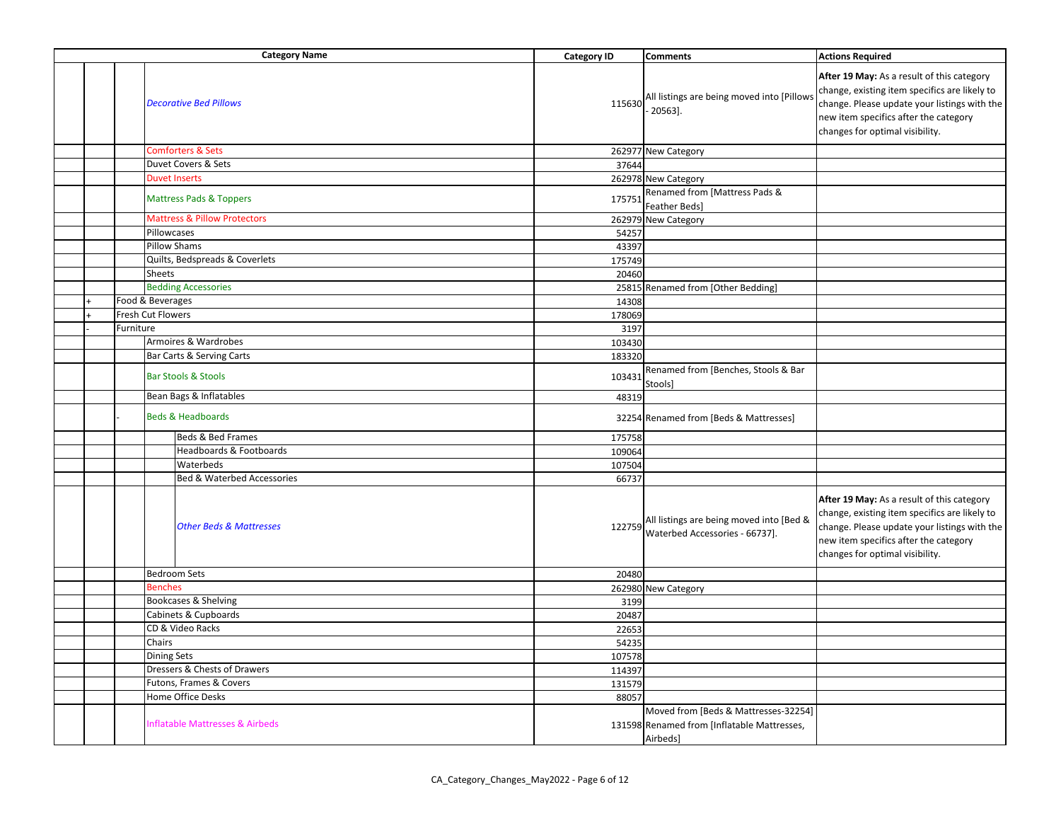|  |           | <b>Category Name</b>                    | <b>Category ID</b> | <b>Comments</b>                                                                                 | <b>Actions Required</b>                                                                                                                                                                                                 |  |
|--|-----------|-----------------------------------------|--------------------|-------------------------------------------------------------------------------------------------|-------------------------------------------------------------------------------------------------------------------------------------------------------------------------------------------------------------------------|--|
|  |           | <b>Decorative Bed Pillows</b>           | 115630             | All listings are being moved into [Pillows<br>20563].                                           | After 19 May: As a result of this category<br>change, existing item specifics are likely to<br>change. Please update your listings with the<br>new item specifics after the category<br>changes for optimal visibility. |  |
|  |           | <b>Comforters &amp; Sets</b>            |                    | 262977 New Category                                                                             |                                                                                                                                                                                                                         |  |
|  |           | Duvet Covers & Sets                     | 37644              |                                                                                                 |                                                                                                                                                                                                                         |  |
|  |           | <b>Duvet Inserts</b>                    |                    | 262978 New Category                                                                             |                                                                                                                                                                                                                         |  |
|  |           | <b>Mattress Pads &amp; Toppers</b>      | 175751             | Renamed from [Mattress Pads &<br>Feather Beds]                                                  |                                                                                                                                                                                                                         |  |
|  |           | <b>Mattress &amp; Pillow Protectors</b> |                    | 262979 New Category                                                                             |                                                                                                                                                                                                                         |  |
|  |           | Pillowcases                             | 54257              |                                                                                                 |                                                                                                                                                                                                                         |  |
|  |           | <b>Pillow Shams</b>                     | 43397              |                                                                                                 |                                                                                                                                                                                                                         |  |
|  |           | Quilts, Bedspreads & Coverlets          | 175749             |                                                                                                 |                                                                                                                                                                                                                         |  |
|  |           | Sheets                                  | 20460              |                                                                                                 |                                                                                                                                                                                                                         |  |
|  |           | <b>Bedding Accessories</b>              |                    | 25815 Renamed from [Other Bedding]                                                              |                                                                                                                                                                                                                         |  |
|  |           | Food & Beverages                        | 14308              |                                                                                                 |                                                                                                                                                                                                                         |  |
|  |           | Fresh Cut Flowers                       | 178069             |                                                                                                 |                                                                                                                                                                                                                         |  |
|  | Furniture |                                         | 3197               |                                                                                                 |                                                                                                                                                                                                                         |  |
|  |           | Armoires & Wardrobes                    | 103430             |                                                                                                 |                                                                                                                                                                                                                         |  |
|  |           | Bar Carts & Serving Carts               | 183320             |                                                                                                 |                                                                                                                                                                                                                         |  |
|  |           | <b>Bar Stools &amp; Stools</b>          | 103431             | Renamed from [Benches, Stools & Bar<br>Stools]                                                  |                                                                                                                                                                                                                         |  |
|  |           | Bean Bags & Inflatables                 | 48319              |                                                                                                 |                                                                                                                                                                                                                         |  |
|  |           | <b>Beds &amp; Headboards</b>            |                    | 32254 Renamed from [Beds & Mattresses]                                                          |                                                                                                                                                                                                                         |  |
|  |           | Beds & Bed Frames                       | 175758             |                                                                                                 |                                                                                                                                                                                                                         |  |
|  |           | Headboards & Footboards                 | 109064             |                                                                                                 |                                                                                                                                                                                                                         |  |
|  |           | Waterbeds                               | 107504             |                                                                                                 |                                                                                                                                                                                                                         |  |
|  |           | <b>Bed &amp; Waterbed Accessories</b>   | 66737              |                                                                                                 |                                                                                                                                                                                                                         |  |
|  |           | <b>Other Beds &amp; Mattresses</b>      | 122759             | All listings are being moved into [Bed &<br>Waterbed Accessories - 66737].                      | After 19 May: As a result of this category<br>change, existing item specifics are likely to<br>change. Please update your listings with the<br>new item specifics after the category<br>changes for optimal visibility. |  |
|  |           | <b>Bedroom Sets</b>                     | 20480              |                                                                                                 |                                                                                                                                                                                                                         |  |
|  |           | <b>Benches</b>                          |                    | 262980 New Category                                                                             |                                                                                                                                                                                                                         |  |
|  |           | Bookcases & Shelving                    | 3199               |                                                                                                 |                                                                                                                                                                                                                         |  |
|  |           | Cabinets & Cupboards                    | 20487              |                                                                                                 |                                                                                                                                                                                                                         |  |
|  |           | CD & Video Racks                        | 22653              |                                                                                                 |                                                                                                                                                                                                                         |  |
|  |           | Chairs                                  | 54235              |                                                                                                 |                                                                                                                                                                                                                         |  |
|  |           | <b>Dining Sets</b>                      | 107578             |                                                                                                 |                                                                                                                                                                                                                         |  |
|  |           | Dressers & Chests of Drawers            | 114397             |                                                                                                 |                                                                                                                                                                                                                         |  |
|  |           | Futons, Frames & Covers                 | 131579             |                                                                                                 |                                                                                                                                                                                                                         |  |
|  |           | Home Office Desks                       | 88057              |                                                                                                 |                                                                                                                                                                                                                         |  |
|  |           | nflatable Mattresses & Airbeds          |                    | Moved from [Beds & Mattresses-32254]<br>131598 Renamed from [Inflatable Mattresses,<br>Airbeds] |                                                                                                                                                                                                                         |  |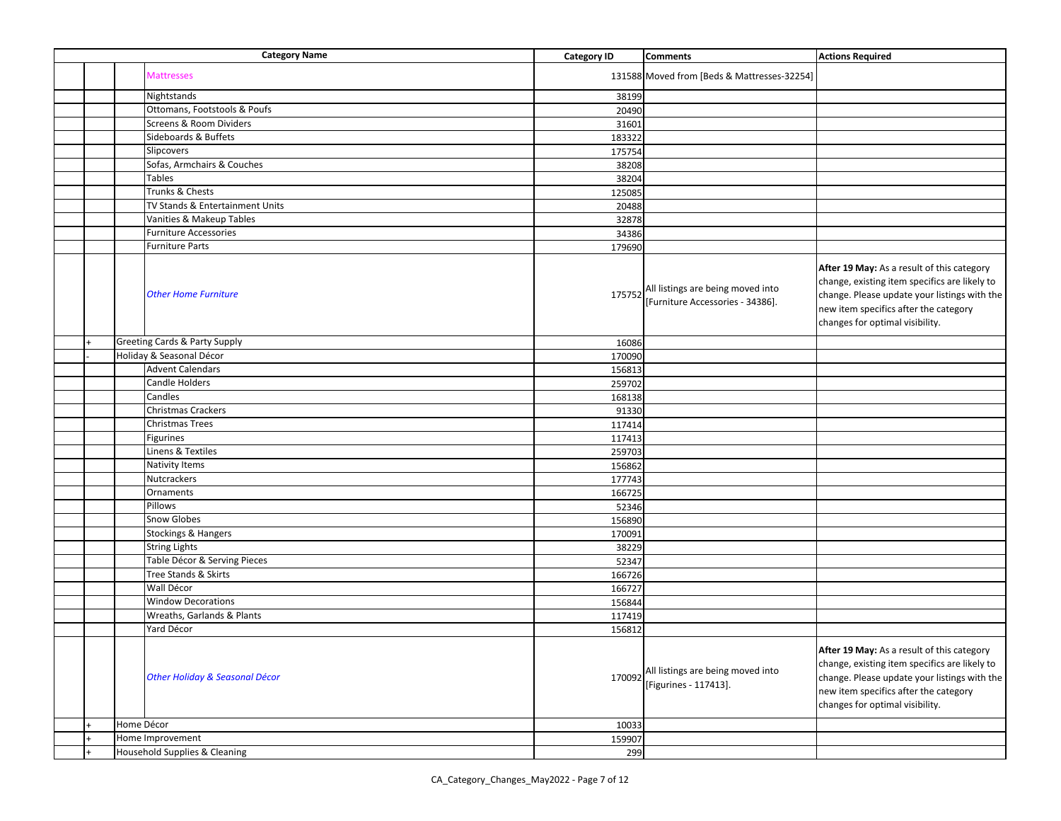|  | <b>Category Name</b>                     | <b>Category ID</b> | <b>Comments</b>                                                       | <b>Actions Required</b>                                                                                                                                                                                                        |
|--|------------------------------------------|--------------------|-----------------------------------------------------------------------|--------------------------------------------------------------------------------------------------------------------------------------------------------------------------------------------------------------------------------|
|  | <b>Mattresses</b>                        |                    | 131588 Moved from [Beds & Mattresses-32254]                           |                                                                                                                                                                                                                                |
|  | Nightstands                              | 38199              |                                                                       |                                                                                                                                                                                                                                |
|  | Ottomans, Footstools & Poufs             | 20490              |                                                                       |                                                                                                                                                                                                                                |
|  | Screens & Room Dividers                  | 31601              |                                                                       |                                                                                                                                                                                                                                |
|  | Sideboards & Buffets                     | 183322             |                                                                       |                                                                                                                                                                                                                                |
|  | Slipcovers                               | 175754             |                                                                       |                                                                                                                                                                                                                                |
|  | Sofas, Armchairs & Couches               | 38208              |                                                                       |                                                                                                                                                                                                                                |
|  | <b>Tables</b>                            | 38204              |                                                                       |                                                                                                                                                                                                                                |
|  | Trunks & Chests                          | 125085             |                                                                       |                                                                                                                                                                                                                                |
|  | TV Stands & Entertainment Units          | 20488              |                                                                       |                                                                                                                                                                                                                                |
|  | Vanities & Makeup Tables                 | 32878              |                                                                       |                                                                                                                                                                                                                                |
|  | <b>Furniture Accessories</b>             | 34386              |                                                                       |                                                                                                                                                                                                                                |
|  | <b>Furniture Parts</b>                   | 179690             |                                                                       |                                                                                                                                                                                                                                |
|  | <b>Other Home Furniture</b>              | 175752             | All listings are being moved into<br>[Furniture Accessories - 34386]. | After 19 May: As a result of this category<br>change, existing item specifics are likely to<br>change. Please update your listings with the<br>new item specifics after the category<br>changes for optimal visibility.        |
|  | <b>Greeting Cards &amp; Party Supply</b> | 16086              |                                                                       |                                                                                                                                                                                                                                |
|  | Holiday & Seasonal Décor                 | 170090             |                                                                       |                                                                                                                                                                                                                                |
|  | <b>Advent Calendars</b>                  | 156813             |                                                                       |                                                                                                                                                                                                                                |
|  | Candle Holders                           | 259702             |                                                                       |                                                                                                                                                                                                                                |
|  | Candles                                  | 168138             |                                                                       |                                                                                                                                                                                                                                |
|  | <b>Christmas Crackers</b>                | 91330              |                                                                       |                                                                                                                                                                                                                                |
|  | <b>Christmas Trees</b>                   | 117414             |                                                                       |                                                                                                                                                                                                                                |
|  | <b>Figurines</b>                         | 117413             |                                                                       |                                                                                                                                                                                                                                |
|  | Linens & Textiles                        | 259703             |                                                                       |                                                                                                                                                                                                                                |
|  | <b>Nativity Items</b>                    | 156862             |                                                                       |                                                                                                                                                                                                                                |
|  | Nutcrackers                              | 177743             |                                                                       |                                                                                                                                                                                                                                |
|  | Ornaments                                | 166725             |                                                                       |                                                                                                                                                                                                                                |
|  | Pillows                                  | 52346              |                                                                       |                                                                                                                                                                                                                                |
|  | Snow Globes                              | 156890             |                                                                       |                                                                                                                                                                                                                                |
|  | <b>Stockings &amp; Hangers</b>           | 170091             |                                                                       |                                                                                                                                                                                                                                |
|  | <b>String Lights</b>                     | 38229              |                                                                       |                                                                                                                                                                                                                                |
|  | Table Décor & Serving Pieces             | 52347              |                                                                       |                                                                                                                                                                                                                                |
|  | Tree Stands & Skirts                     | 166726             |                                                                       |                                                                                                                                                                                                                                |
|  | Wall Décor                               | 166727             |                                                                       |                                                                                                                                                                                                                                |
|  | <b>Window Decorations</b>                | 156844             |                                                                       |                                                                                                                                                                                                                                |
|  | Wreaths, Garlands & Plants               | 117419             |                                                                       |                                                                                                                                                                                                                                |
|  | Yard Décor                               | 156812             |                                                                       |                                                                                                                                                                                                                                |
|  | Other Holiday & Seasonal Décor           | 170092             | All listings are being moved into<br>[Figurines - 117413].            | <b>After 19 May:</b> As a result of this category<br>change, existing item specifics are likely to<br>change. Please update your listings with the<br>new item specifics after the category<br>changes for optimal visibility. |
|  | Home Décor                               | 10033              |                                                                       |                                                                                                                                                                                                                                |
|  | Home Improvement                         | 159907             |                                                                       |                                                                                                                                                                                                                                |
|  | Household Supplies & Cleaning            | 299                |                                                                       |                                                                                                                                                                                                                                |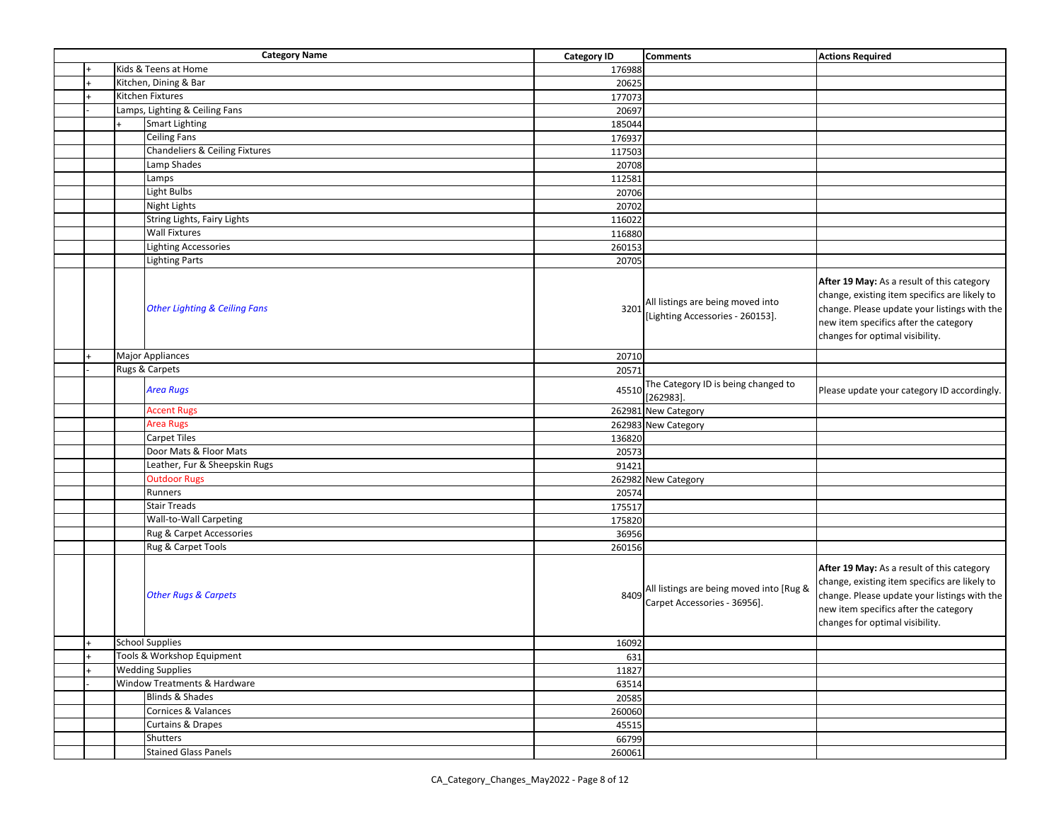|     |                            | <b>Category Name</b>                     | <b>Category ID</b> | <b>Comments</b>                                                          | <b>Actions Required</b>                                                                                                                                                                                                 |
|-----|----------------------------|------------------------------------------|--------------------|--------------------------------------------------------------------------|-------------------------------------------------------------------------------------------------------------------------------------------------------------------------------------------------------------------------|
|     |                            | Kids & Teens at Home                     | 176988             |                                                                          |                                                                                                                                                                                                                         |
|     |                            | Kitchen, Dining & Bar                    | 20625              |                                                                          |                                                                                                                                                                                                                         |
|     |                            | Kitchen Fixtures                         | 177073             |                                                                          |                                                                                                                                                                                                                         |
|     |                            | Lamps, Lighting & Ceiling Fans           | 20697              |                                                                          |                                                                                                                                                                                                                         |
|     |                            | <b>Smart Lighting</b>                    | 185044             |                                                                          |                                                                                                                                                                                                                         |
|     |                            | <b>Ceiling Fans</b>                      | 176937             |                                                                          |                                                                                                                                                                                                                         |
|     |                            | Chandeliers & Ceiling Fixtures           | 117503             |                                                                          |                                                                                                                                                                                                                         |
|     |                            | Lamp Shades                              | 20708              |                                                                          |                                                                                                                                                                                                                         |
|     |                            | Lamps                                    | 112581             |                                                                          |                                                                                                                                                                                                                         |
|     |                            | Light Bulbs                              | 20706              |                                                                          |                                                                                                                                                                                                                         |
|     |                            | <b>Night Lights</b>                      | 20702              |                                                                          |                                                                                                                                                                                                                         |
|     |                            | String Lights, Fairy Lights              | 116022             |                                                                          |                                                                                                                                                                                                                         |
|     |                            | <b>Wall Fixtures</b>                     | 116880             |                                                                          |                                                                                                                                                                                                                         |
|     |                            | <b>Lighting Accessories</b>              | 260153             |                                                                          |                                                                                                                                                                                                                         |
|     |                            | <b>Lighting Parts</b>                    | 20705              |                                                                          |                                                                                                                                                                                                                         |
|     |                            | <b>Other Lighting &amp; Ceiling Fans</b> | 3201               | All listings are being moved into<br>[Lighting Accessories - 260153].    | After 19 May: As a result of this category<br>change, existing item specifics are likely to<br>change. Please update your listings with the<br>new item specifics after the category<br>changes for optimal visibility. |
|     |                            | <b>Major Appliances</b>                  | 20710              |                                                                          |                                                                                                                                                                                                                         |
|     |                            | Rugs & Carpets                           | 20571              |                                                                          |                                                                                                                                                                                                                         |
|     |                            | <b>Area Rugs</b>                         | 45510              | The Category ID is being changed to<br>$[262983]$ .                      | Please update your category ID accordingly.                                                                                                                                                                             |
|     |                            | <b>Accent Rugs</b>                       |                    | 262981 New Category                                                      |                                                                                                                                                                                                                         |
|     |                            | <b>Area Rugs</b>                         |                    | 262983 New Category                                                      |                                                                                                                                                                                                                         |
|     |                            | <b>Carpet Tiles</b>                      | 136820             |                                                                          |                                                                                                                                                                                                                         |
|     |                            | Door Mats & Floor Mats                   | 20573              |                                                                          |                                                                                                                                                                                                                         |
|     |                            | Leather, Fur & Sheepskin Rugs            | 91421              |                                                                          |                                                                                                                                                                                                                         |
|     |                            | <b>Outdoor Rugs</b>                      |                    | 262982 New Category                                                      |                                                                                                                                                                                                                         |
|     |                            | Runners                                  | 20574              |                                                                          |                                                                                                                                                                                                                         |
|     |                            | <b>Stair Treads</b>                      | 175517             |                                                                          |                                                                                                                                                                                                                         |
|     |                            | <b>Wall-to-Wall Carpeting</b>            | 175820             |                                                                          |                                                                                                                                                                                                                         |
|     |                            | Rug & Carpet Accessories                 | 36956              |                                                                          |                                                                                                                                                                                                                         |
|     |                            | Rug & Carpet Tools                       | 260156             |                                                                          |                                                                                                                                                                                                                         |
|     |                            | <b>Other Rugs &amp; Carpets</b>          | 8409               | All listings are being moved into [Rug &<br>Carpet Accessories - 36956]. | After 19 May: As a result of this category<br>change, existing item specifics are likely to<br>change. Please update your listings with the<br>new item specifics after the category<br>changes for optimal visibility. |
| $+$ |                            | <b>School Supplies</b>                   | 16092              |                                                                          |                                                                                                                                                                                                                         |
|     | Tools & Workshop Equipment |                                          | 631                |                                                                          |                                                                                                                                                                                                                         |
|     | <b>Wedding Supplies</b>    |                                          | 11827              |                                                                          |                                                                                                                                                                                                                         |
|     |                            | Window Treatments & Hardware             | 63514              |                                                                          |                                                                                                                                                                                                                         |
|     | Blinds & Shades            |                                          | 20585              |                                                                          |                                                                                                                                                                                                                         |
|     |                            | Cornices & Valances                      | 260060             |                                                                          |                                                                                                                                                                                                                         |
|     |                            | <b>Curtains &amp; Drapes</b>             | 45515              |                                                                          |                                                                                                                                                                                                                         |
|     |                            | Shutters                                 | 66799              |                                                                          |                                                                                                                                                                                                                         |
|     |                            | <b>Stained Glass Panels</b>              | 260061             |                                                                          |                                                                                                                                                                                                                         |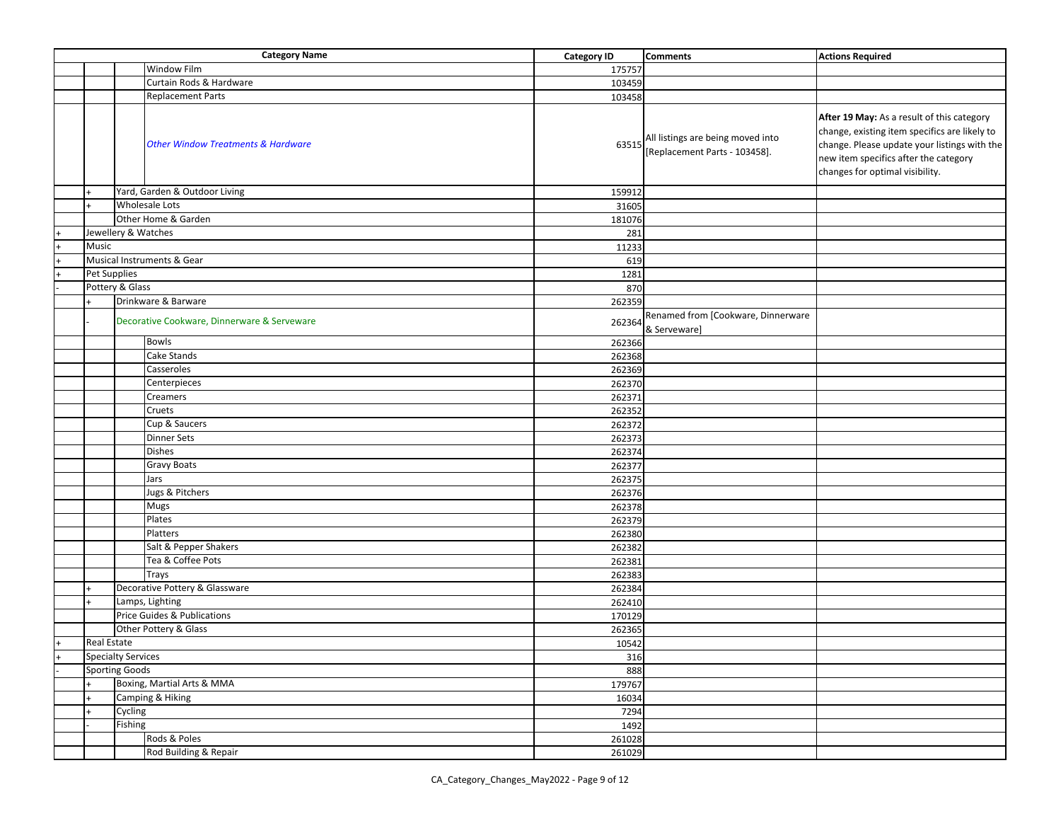|                |                           | <b>Category Name</b>                          | <b>Category ID</b> | <b>Comments</b>                                                    | <b>Actions Required</b>                                                                                                                                                                                                 |
|----------------|---------------------------|-----------------------------------------------|--------------------|--------------------------------------------------------------------|-------------------------------------------------------------------------------------------------------------------------------------------------------------------------------------------------------------------------|
|                |                           | <b>Window Film</b>                            | 175757             |                                                                    |                                                                                                                                                                                                                         |
|                |                           | Curtain Rods & Hardware                       | 103459             |                                                                    |                                                                                                                                                                                                                         |
|                |                           | <b>Replacement Parts</b>                      | 103458             |                                                                    |                                                                                                                                                                                                                         |
|                |                           | <b>Other Window Treatments &amp; Hardware</b> | 63515              | All listings are being moved into<br>[Replacement Parts - 103458]. | After 19 May: As a result of this category<br>change, existing item specifics are likely to<br>change. Please update your listings with the<br>new item specifics after the category<br>changes for optimal visibility. |
|                |                           | Yard, Garden & Outdoor Living                 | 159912             |                                                                    |                                                                                                                                                                                                                         |
|                |                           | <b>Wholesale Lots</b>                         | 31605              |                                                                    |                                                                                                                                                                                                                         |
|                |                           | Other Home & Garden                           | 181076             |                                                                    |                                                                                                                                                                                                                         |
|                |                           | Jewellery & Watches                           | 281                |                                                                    |                                                                                                                                                                                                                         |
|                | Music                     |                                               | 11233              |                                                                    |                                                                                                                                                                                                                         |
| $\overline{+}$ |                           | Musical Instruments & Gear                    | 619                |                                                                    |                                                                                                                                                                                                                         |
|                | <b>Pet Supplies</b>       |                                               | 1281               |                                                                    |                                                                                                                                                                                                                         |
|                |                           | Pottery & Glass                               | 870                |                                                                    |                                                                                                                                                                                                                         |
|                |                           | Drinkware & Barware                           | 262359             |                                                                    |                                                                                                                                                                                                                         |
|                |                           | Decorative Cookware, Dinnerware & Serveware   | 262364             | Renamed from [Cookware, Dinnerware<br>& Serveware]                 |                                                                                                                                                                                                                         |
|                |                           | <b>Bowls</b>                                  | 262366             |                                                                    |                                                                                                                                                                                                                         |
|                |                           | Cake Stands                                   | 262368             |                                                                    |                                                                                                                                                                                                                         |
|                |                           | Casseroles                                    | 262369             |                                                                    |                                                                                                                                                                                                                         |
|                |                           | Centerpieces                                  | 262370             |                                                                    |                                                                                                                                                                                                                         |
|                |                           | Creamers                                      | 262371             |                                                                    |                                                                                                                                                                                                                         |
|                |                           | Cruets                                        | 262352             |                                                                    |                                                                                                                                                                                                                         |
|                |                           | Cup & Saucers                                 | 262372             |                                                                    |                                                                                                                                                                                                                         |
|                |                           | <b>Dinner Sets</b>                            | 262373             |                                                                    |                                                                                                                                                                                                                         |
|                |                           | <b>Dishes</b>                                 | 262374             |                                                                    |                                                                                                                                                                                                                         |
|                |                           | Gravy Boats                                   | 262377             |                                                                    |                                                                                                                                                                                                                         |
|                |                           | Jars                                          | 262375             |                                                                    |                                                                                                                                                                                                                         |
|                |                           | Jugs & Pitchers                               | 262376             |                                                                    |                                                                                                                                                                                                                         |
|                |                           | Mugs                                          | 262378             |                                                                    |                                                                                                                                                                                                                         |
|                |                           | Plates                                        | 262379             |                                                                    |                                                                                                                                                                                                                         |
|                |                           | Platters                                      | 262380             |                                                                    |                                                                                                                                                                                                                         |
|                |                           | Salt & Pepper Shakers                         | 262382             |                                                                    |                                                                                                                                                                                                                         |
|                |                           | Tea & Coffee Pots                             | 262381             |                                                                    |                                                                                                                                                                                                                         |
|                |                           | Trays                                         | 262383             |                                                                    |                                                                                                                                                                                                                         |
|                |                           | Decorative Pottery & Glassware                | 262384             |                                                                    |                                                                                                                                                                                                                         |
|                |                           | Lamps, Lighting                               | 262410             |                                                                    |                                                                                                                                                                                                                         |
|                |                           | Price Guides & Publications                   | 170129             |                                                                    |                                                                                                                                                                                                                         |
|                |                           | Other Pottery & Glass                         | 262365             |                                                                    |                                                                                                                                                                                                                         |
| $\ddot{}$      | <b>Real Estate</b>        |                                               | 10542              |                                                                    |                                                                                                                                                                                                                         |
|                | <b>Specialty Services</b> |                                               | 316                |                                                                    |                                                                                                                                                                                                                         |
|                | <b>Sporting Goods</b>     |                                               | 888                |                                                                    |                                                                                                                                                                                                                         |
|                |                           | Boxing, Martial Arts & MMA                    | 179767             |                                                                    |                                                                                                                                                                                                                         |
|                |                           | Camping & Hiking                              | 16034              |                                                                    |                                                                                                                                                                                                                         |
|                |                           | Cycling                                       | 7294               |                                                                    |                                                                                                                                                                                                                         |
|                |                           | Fishing                                       | 1492               |                                                                    |                                                                                                                                                                                                                         |
|                |                           | Rods & Poles                                  | 261028             |                                                                    |                                                                                                                                                                                                                         |
|                |                           | Rod Building & Repair                         | 261029             |                                                                    |                                                                                                                                                                                                                         |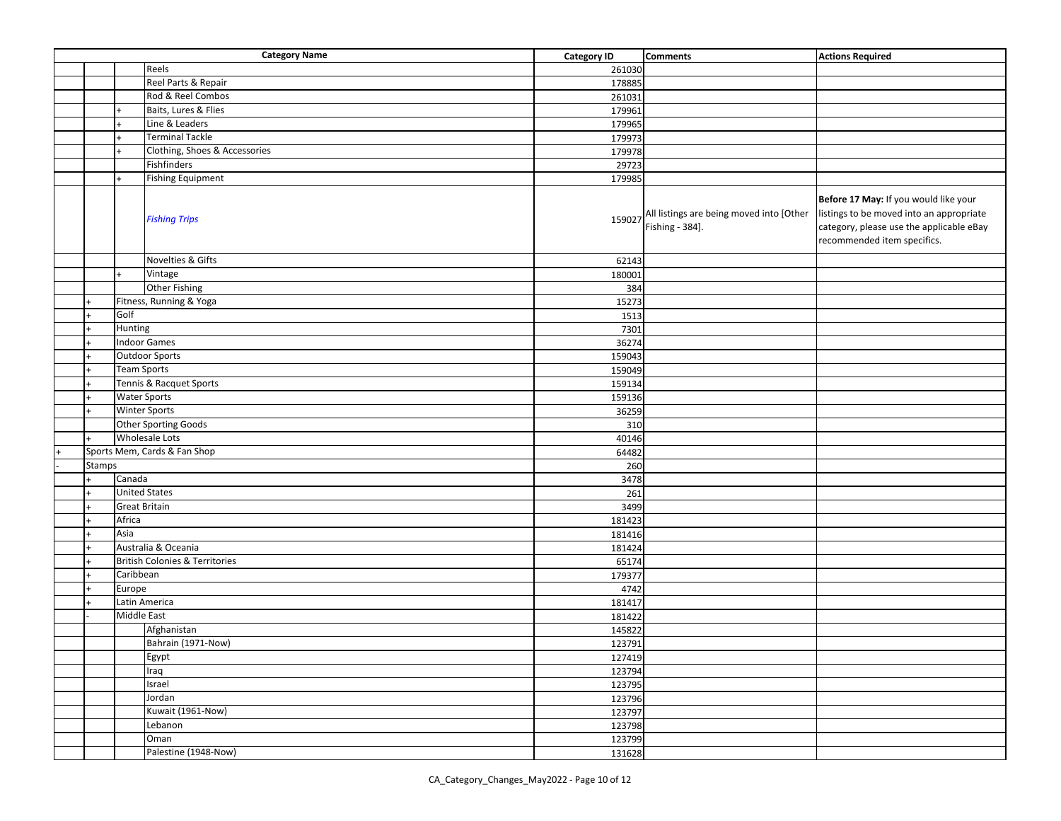|        |                      | <b>Category Name</b>                      | <b>Category ID</b> | <b>Comments</b>                                             | <b>Actions Required</b>                                                                                                                                      |
|--------|----------------------|-------------------------------------------|--------------------|-------------------------------------------------------------|--------------------------------------------------------------------------------------------------------------------------------------------------------------|
|        |                      | Reels                                     | 261030             |                                                             |                                                                                                                                                              |
|        |                      | Reel Parts & Repair                       | 178885             |                                                             |                                                                                                                                                              |
|        |                      | Rod & Reel Combos                         | 261031             |                                                             |                                                                                                                                                              |
|        |                      | Baits, Lures & Flies                      | 179961             |                                                             |                                                                                                                                                              |
|        |                      | Line & Leaders                            | 179965             |                                                             |                                                                                                                                                              |
|        |                      | <b>Terminal Tackle</b>                    | 179973             |                                                             |                                                                                                                                                              |
|        |                      | Clothing, Shoes & Accessories             | 179978             |                                                             |                                                                                                                                                              |
|        |                      | Fishfinders                               | 29723              |                                                             |                                                                                                                                                              |
|        |                      | <b>Fishing Equipment</b>                  | 179985             |                                                             |                                                                                                                                                              |
|        |                      | <b>Fishing Trips</b><br>Novelties & Gifts | 159027             | All listings are being moved into [Other<br>Fishing - 384]. | Before 17 May: If you would like your<br>listings to be moved into an appropriate<br>category, please use the applicable eBay<br>recommended item specifics. |
|        |                      | Vintage                                   | 62143              |                                                             |                                                                                                                                                              |
|        |                      |                                           | 180001             |                                                             |                                                                                                                                                              |
|        |                      | <b>Other Fishing</b>                      | 384                |                                                             |                                                                                                                                                              |
|        |                      | Fitness, Running & Yoga                   | 15273              |                                                             |                                                                                                                                                              |
|        | Golf                 |                                           | 1513               |                                                             |                                                                                                                                                              |
|        | Hunting              |                                           | 7301               |                                                             |                                                                                                                                                              |
|        |                      | <b>Indoor Games</b>                       | 36274              |                                                             |                                                                                                                                                              |
|        |                      | <b>Outdoor Sports</b>                     | 159043             |                                                             |                                                                                                                                                              |
|        | <b>Team Sports</b>   |                                           | 159049             |                                                             |                                                                                                                                                              |
|        |                      | Tennis & Racquet Sports                   | 159134             |                                                             |                                                                                                                                                              |
|        |                      | <b>Water Sports</b>                       | 159136             |                                                             |                                                                                                                                                              |
|        |                      | <b>Winter Sports</b>                      | 36259              |                                                             |                                                                                                                                                              |
|        |                      | Other Sporting Goods                      | 310                |                                                             |                                                                                                                                                              |
|        |                      | <b>Wholesale Lots</b>                     | 40146              |                                                             |                                                                                                                                                              |
|        |                      | Sports Mem, Cards & Fan Shop              | 64482              |                                                             |                                                                                                                                                              |
| Stamps |                      |                                           | 260                |                                                             |                                                                                                                                                              |
|        | Canada               |                                           | 3478               |                                                             |                                                                                                                                                              |
|        |                      | <b>United States</b>                      | 261                |                                                             |                                                                                                                                                              |
|        | <b>Great Britain</b> |                                           | 3499               |                                                             |                                                                                                                                                              |
|        | Africa               |                                           | 181423             |                                                             |                                                                                                                                                              |
|        | Asia                 |                                           | 181416             |                                                             |                                                                                                                                                              |
|        |                      | Australia & Oceania                       | 181424             |                                                             |                                                                                                                                                              |
|        |                      | <b>British Colonies &amp; Territories</b> | 65174              |                                                             |                                                                                                                                                              |
|        | Caribbean            |                                           | 179377             |                                                             |                                                                                                                                                              |
|        | Europe               |                                           | 4742               |                                                             |                                                                                                                                                              |
|        |                      | Latin America                             | 181417             |                                                             |                                                                                                                                                              |
|        | Middle East          |                                           | 181422             |                                                             |                                                                                                                                                              |
|        |                      | Afghanistan                               | 145822             |                                                             |                                                                                                                                                              |
|        |                      | Bahrain (1971-Now)                        | 123791             |                                                             |                                                                                                                                                              |
|        |                      | Egypt                                     | 127419             |                                                             |                                                                                                                                                              |
|        |                      | Iraq                                      | 123794             |                                                             |                                                                                                                                                              |
|        |                      | Israel                                    | 123795             |                                                             |                                                                                                                                                              |
|        |                      | Jordan                                    | 123796             |                                                             |                                                                                                                                                              |
|        |                      | Kuwait (1961-Now)                         | 123797             |                                                             |                                                                                                                                                              |
|        |                      | Lebanon                                   | 123798             |                                                             |                                                                                                                                                              |
|        |                      | Oman                                      | 123799             |                                                             |                                                                                                                                                              |
|        |                      | Palestine (1948-Now)                      | 131628             |                                                             |                                                                                                                                                              |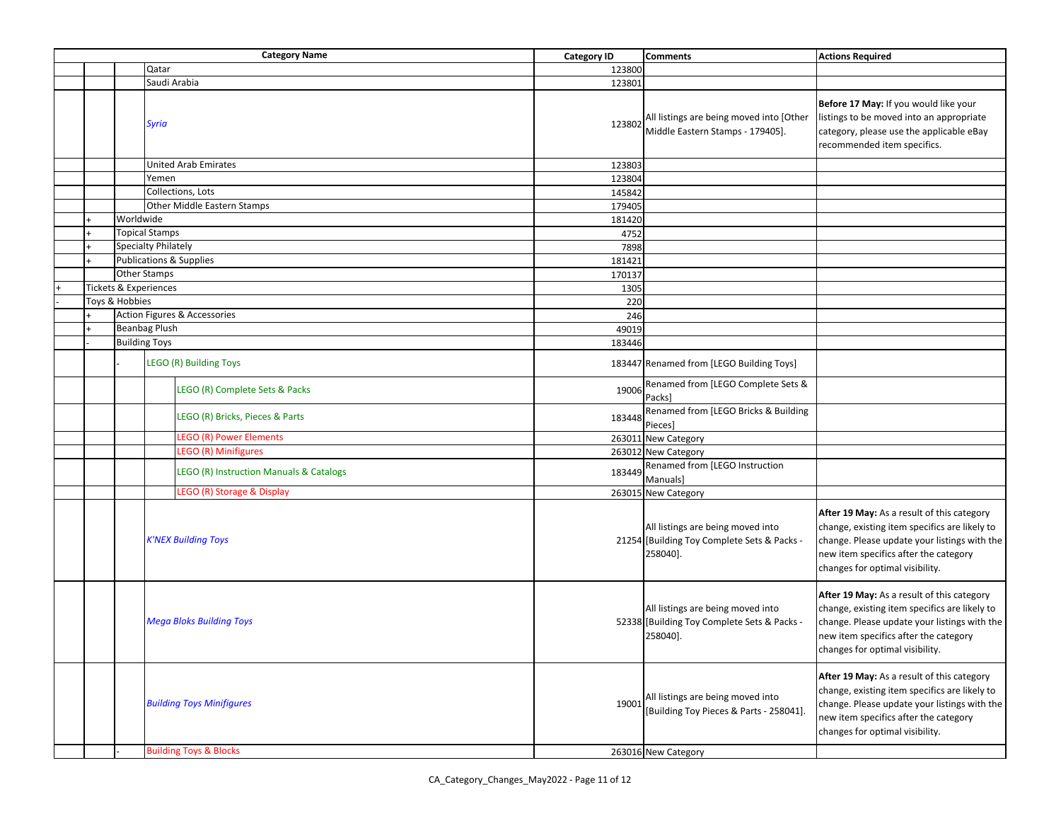|  |                                 | <b>Category Name</b>                    |  | <b>Category ID</b>                                                                           | <b>Comments</b>                                                                                                                                                                                                         | <b>Actions Required</b>                                                                                                                                                                                                 |
|--|---------------------------------|-----------------------------------------|--|----------------------------------------------------------------------------------------------|-------------------------------------------------------------------------------------------------------------------------------------------------------------------------------------------------------------------------|-------------------------------------------------------------------------------------------------------------------------------------------------------------------------------------------------------------------------|
|  |                                 | Qatar                                   |  | 123800                                                                                       |                                                                                                                                                                                                                         |                                                                                                                                                                                                                         |
|  |                                 | Saudi Arabia                            |  | 123801                                                                                       |                                                                                                                                                                                                                         |                                                                                                                                                                                                                         |
|  |                                 | Syria                                   |  | 123802                                                                                       | All listings are being moved into [Other<br>Middle Eastern Stamps - 179405].                                                                                                                                            | Before 17 May: If you would like your<br>listings to be moved into an appropriate<br>category, please use the applicable eBay<br>recommended item specifics.                                                            |
|  |                                 | <b>United Arab Emirates</b>             |  | 123803                                                                                       |                                                                                                                                                                                                                         |                                                                                                                                                                                                                         |
|  |                                 | Yemen                                   |  | 123804                                                                                       |                                                                                                                                                                                                                         |                                                                                                                                                                                                                         |
|  |                                 | Collections, Lots                       |  | 145842                                                                                       |                                                                                                                                                                                                                         |                                                                                                                                                                                                                         |
|  |                                 | Other Middle Eastern Stamps             |  | 179405                                                                                       |                                                                                                                                                                                                                         |                                                                                                                                                                                                                         |
|  | Worldwide                       |                                         |  | 181420                                                                                       |                                                                                                                                                                                                                         |                                                                                                                                                                                                                         |
|  |                                 | <b>Topical Stamps</b>                   |  | 4752                                                                                         |                                                                                                                                                                                                                         |                                                                                                                                                                                                                         |
|  |                                 | Specialty Philately                     |  | 7898                                                                                         |                                                                                                                                                                                                                         |                                                                                                                                                                                                                         |
|  |                                 | <b>Publications &amp; Supplies</b>      |  | 181421                                                                                       |                                                                                                                                                                                                                         |                                                                                                                                                                                                                         |
|  |                                 | Other Stamps                            |  | 170137                                                                                       |                                                                                                                                                                                                                         |                                                                                                                                                                                                                         |
|  |                                 | <b>Tickets &amp; Experiences</b>        |  | 1305                                                                                         |                                                                                                                                                                                                                         |                                                                                                                                                                                                                         |
|  | Toys & Hobbies                  |                                         |  | 220                                                                                          |                                                                                                                                                                                                                         |                                                                                                                                                                                                                         |
|  |                                 | Action Figures & Accessories            |  | 246                                                                                          |                                                                                                                                                                                                                         |                                                                                                                                                                                                                         |
|  |                                 | <b>Beanbag Plush</b>                    |  |                                                                                              |                                                                                                                                                                                                                         |                                                                                                                                                                                                                         |
|  |                                 | <b>Building Toys</b>                    |  | 49019                                                                                        |                                                                                                                                                                                                                         |                                                                                                                                                                                                                         |
|  |                                 |                                         |  | 183446                                                                                       |                                                                                                                                                                                                                         |                                                                                                                                                                                                                         |
|  |                                 | <b>LEGO (R) Building Toys</b>           |  |                                                                                              | 183447 Renamed from [LEGO Building Toys]                                                                                                                                                                                |                                                                                                                                                                                                                         |
|  |                                 | LEGO (R) Complete Sets & Packs          |  | 19006                                                                                        | Renamed from [LEGO Complete Sets &<br>Packs]                                                                                                                                                                            |                                                                                                                                                                                                                         |
|  |                                 | LEGO (R) Bricks, Pieces & Parts         |  | 183448                                                                                       | Renamed from [LEGO Bricks & Building<br>Pieces]                                                                                                                                                                         |                                                                                                                                                                                                                         |
|  |                                 | <b>LEGO (R) Power Elements</b>          |  |                                                                                              | 263011 New Category                                                                                                                                                                                                     |                                                                                                                                                                                                                         |
|  |                                 | <b>LEGO (R) Minifigures</b>             |  |                                                                                              | 263012 New Category                                                                                                                                                                                                     |                                                                                                                                                                                                                         |
|  |                                 | LEGO (R) Instruction Manuals & Catalogs |  | 183449                                                                                       | Renamed from [LEGO Instruction<br>Manuals]                                                                                                                                                                              |                                                                                                                                                                                                                         |
|  |                                 | LEGO (R) Storage & Display              |  |                                                                                              | 263015 New Category                                                                                                                                                                                                     |                                                                                                                                                                                                                         |
|  |                                 | <b>K'NEX Building Toys</b>              |  |                                                                                              | All listings are being moved into<br>21254 [Building Toy Complete Sets & Packs -<br>258040].                                                                                                                            | After 19 May: As a result of this category<br>change, existing item specifics are likely to<br>change. Please update your listings with the<br>new item specifics after the category<br>changes for optimal visibility. |
|  | <b>Mega Bloks Building Toys</b> |                                         |  | All listings are being moved into<br>52338 [Building Toy Complete Sets & Packs -<br>258040]. | After 19 May: As a result of this category<br>change, existing item specifics are likely to<br>change. Please update your listings with the<br>new item specifics after the category<br>changes for optimal visibility. |                                                                                                                                                                                                                         |
|  |                                 | <b>Building Toys Minifigures</b>        |  | 19001                                                                                        | All listings are being moved into<br>[Building Toy Pieces & Parts - 258041]                                                                                                                                             | After 19 May: As a result of this category<br>change, existing item specifics are likely to<br>change. Please update your listings with the<br>new item specifics after the category<br>changes for optimal visibility. |
|  |                                 | <b>Building Toys &amp; Blocks</b>       |  |                                                                                              | 263016 New Category                                                                                                                                                                                                     |                                                                                                                                                                                                                         |